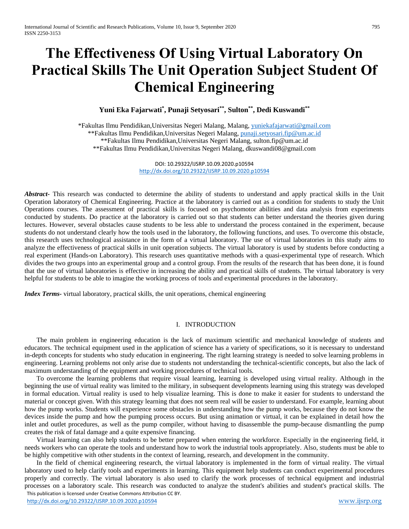# **The Effectiveness Of Using Virtual Laboratory On Practical Skills The Unit Operation Subject Student Of Chemical Engineering**

**Yuni Eka Fajarwati\* , Punaji Setyosari\*\*, Sulton\*\*, Dedi Kuswandi\*\***

\*Fakultas Ilmu Pendidikan,Universitas Negeri Malang, Malang, [yuniekafajarwati@gmail.com](mailto:yuniekafajarwati@gmail.com) \*\*Fakultas Ilmu Pendidikan,Universitas Negeri Malang, [punaji.setyosari.fip@um.ac.id](mailto:punaji.setyosari.fip@um.ac.id) \*\*Fakultas Ilmu Pendidikan,Universitas Negeri Malang, sulton.fip@um.ac.id \*\*Fakultas Ilmu Pendidikan,Universitas Negeri Malang, dkuswandi08@gmail.com

> DOI: 10.29322/IJSRP.10.09.2020.p10594 <http://dx.doi.org/10.29322/IJSRP.10.09.2020.p10594>

*Abstract***-** This research was conducted to determine the ability of students to understand and apply practical skills in the Unit Operation laboratory of Chemical Engineering. Practice at the laboratory is carried out as a condition for students to study the Unit Operations courses. The assessment of practical skills is focused on psychomotor abilities and data analysis from experiments conducted by students. Do practice at the laboratory is carried out so that students can better understand the theories given during lectures. However, several obstacles cause students to be less able to understand the process contained in the experiment, because students do not understand clearly how the tools used in the laboratory, the following functions, and uses. To overcome this obstacle, this research uses technological assistance in the form of a virtual laboratory. The use of virtual laboratories in this study aims to analyze the effectiveness of practical skills in unit operation subjects. The virtual laboratory is used by students before conducting a real experiment (Hands-on Laboratory). This research uses quantitative methods with a quasi-experimental type of research. Which divides the two groups into an experimental group and a control group. From the results of the research that has been done, it is found that the use of virtual laboratories is effective in increasing the ability and practical skills of students. The virtual laboratory is very helpful for students to be able to imagine the working process of tools and experimental procedures in the laboratory.

*Index Terms-* virtual laboratory, practical skills, the unit operations, chemical engineering

## I. INTRODUCTION

The main problem in engineering education is the lack of maximum scientific and mechanical knowledge of students and educators. The technical equipment used in the application of science has a variety of specifications, so it is necessary to understand in-depth concepts for students who study education in engineering. The right learning strategy is needed to solve learning problems in engineering. Learning problems not only arise due to students not understanding the technical-scientific concepts, but also the lack of maximum understanding of the equipment and working procedures of technical tools.

To overcome the learning problems that require visual learning, learning is developed using virtual reality. Although in the beginning the use of virtual reality was limited to the military, in subsequent developments learning using this strategy was developed in formal education. Virtual reality is used to help visualize learning. This is done to make it easier for students to understand the material or concept given. With this strategy learning that does not seem real will be easier to understand. For example, learning about how the pump works. Students will experience some obstacles in understanding how the pump works, because they do not know the devices inside the pump and how the pumping process occurs. But using animation or virtual, it can be explained in detail how the inlet and outlet procedures, as well as the pump compiler, without having to disassemble the pump-because dismantling the pump creates the risk of fatal damage and a quite expensive financing.

Virtual learning can also help students to be better prepared when entering the workforce. Especially in the engineering field, it needs workers who can operate the tools and understand how to work the industrial tools appropriately. Also, students must be able to be highly competitive with other students in the context of learning, research, and development in the community.

 This publication is licensed under Creative Commons Attribution CC BY. In the field of chemical engineering research, the virtual laboratory is implemented in the form of virtual reality. The virtual laboratory used to help clarify tools and experiments in learning. This equipment help students can conduct experimental procedures properly and correctly. The virtual laboratory is also used to clarify the work processes of technical equipment and industrial processes on a laboratory scale. This research was conducted to analyze the student's abilities and student's practical skills. The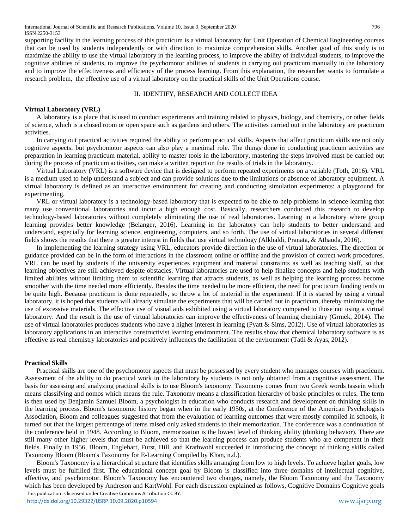supporting facility in the learning process of this practicum is a virtual laboratory for Unit Operation of Chemical Engineering courses that can be used by students independently or with direction to maximize comprehension skills. Another goal of this study is to maximize the ability to use the virtual laboratory in the learning process, to improve the ability of individual students, to improve the cognitive abilities of students, to improve the psychomotor abilities of students in carrying out practicum manually in the laboratory and to improve the effectiveness and efficiency of the process learning. From this explanation, the researcher wants to formulate a research problem, the effective use of a virtual laboratory on the practical skills of the Unit Operations course.

## II. IDENTIFY, RESEARCH AND COLLECT IDEA

## **Virtual Laboratory (VRL)**

A laboratory is a place that is used to conduct experiments and training related to physics, biology, and chemistry, or other fields of science, which is a closed room or open space such as gardens and others. The activities carried out in the laboratory are practicum activities.

In carrying out practical activities required the ability to perform practical skills. Aspects that affect practicum skills are not only cognitive aspects, but psychomotor aspects can also play a maximal role. The things done in conducting practicum activities are preparation in learning practicum material, ability to master tools in the laboratory, mastering the steps involved must be carried out during the process of practicum activities, can make a written report on the results of trials in the laboratory.

Virtual Laboratory (VRL) is a software device that is designed to perform repeated experiments on a variable (Toth, 2016). VRL is a medium used to help understand a subject and can provide solutions due to the limitations or absence of laboratory equipment. A virtual laboratory is defined as an interactive environment for creating and conducting simulation experiments: a playground for experimenting.

VRL or virtual laboratory is a technology-based laboratory that is expected to be able to help problems in science learning that many use conventional laboratories and incur a high enough cost. Basically, researchers conducted this research to develop technology-based laboratories without completely eliminating the use of real laboratories. Learning in a laboratory where group learning provides better knowledge (Belanger, 2016). Learning in the laboratory can help students to better understand and understand, especially for learning science, engineering, computers, and so forth. The use of virtual laboratories in several different fields shows the results that there is greater interest in fields that use virtual technology (Alkhaldi, Pranata, & Athauda, 2016).

In implementing the learning strategy using VRL, educators provide direction in the use of virtual laboratories. The direction or guidance provided can be in the form of interactions in the classroom online or offline and the provision of correct work procedures. VRL can be used by students if the university experiences equipment and material constraints as well as teaching staff, so that learning objectives are still achieved despite obstacles. Virtual laboratories are used to help finalize concepts and help students with limited abilities without limiting them to scientific learning that attracts students, as well as helping the learning process become smoother with the time needed more efficiently. Besides the time needed to be more efficient, the need for practicum funding tends to be quite high. Because practicum is done repeatedly, so throw a lot of material in the experiment. If it is started by using a virtual laboratory, it is hoped that students will already simulate the experiments that will be carried out in practicum, thereby minimizing the use of excessive materials. The effective use of visual aids exhibited using a virtual laboratory compared to those not using a virtual laboratory. And the result is the use of virtual laboratories can improve the effectiveness of learning chemistry (Grmek, 2014). The use of virtual laboratories produces students who have a higher interest in learning (Pyatt & Sims, 2012). Use of virtual laboratories as laboratory applications in an interactive constructivist learning environment. The results show that chemical laboratory software is as effective as real chemistry laboratories and positively influences the facilitation of the environment (Tatli & Ayas, 2012).

## **Practical Skills**

Practical skills are one of the psychomotor aspects that must be possessed by every student who manages courses with practicum. Assessment of the ability to do practical work in the laboratory by students is not only obtained from a cognitive assessment. The basis for assessing and analyzing practical skills is to use Bloom's taxonomy. Taxonomy comes from two Greek words tassein which means classifying and nomos which means the rule. Taxonomy means a classification hierarchy of basic principles or rules. The term is then used by Benjamin Samuel Bloom, a psychologist in education who conducts research and development on thinking skills in the learning process. Bloom's taxonomic history began when in the early 1950s, at the Conference of the American Psychologists Association, Bloom and colleagues suggested that from the evaluation of learning outcomes that were mostly compiled in schools, it turned out that the largest percentage of items raised only asked students to their memorization. The conference was a continuation of the conference held in 1948. According to Bloom, memorization is the lowest level of thinking ability (thinking behavior). There are still many other higher levels that must be achieved so that the learning process can produce students who are competent in their fields. Finally in 1956, Bloom, Englehart, Furst, Hill, and Krathwohl succeeded in introducing the concept of thinking skills called Taxonomy Bloom (Bloom's Taxonomy for E-Learning Compiled by Khan, n.d.).

 This publication is licensed under Creative Commons Attribution CC BY. Bloom's Taxonomy is a hierarchical structure that identifies skills arranging from low to high levels. To achieve higher goals, low levels must be fulfilled first. The educational concept goal by Bloom is classified into three domains of intellectual cognitive, affective, and psychomotor. Bloom's Taxonomy has encountered two changes, namely, the Bloom Taxonomy and the Taxonomy which has been developed by Andreson and KartWohl. For each discussion explained as follows, Cognitive Domains Cognitive goals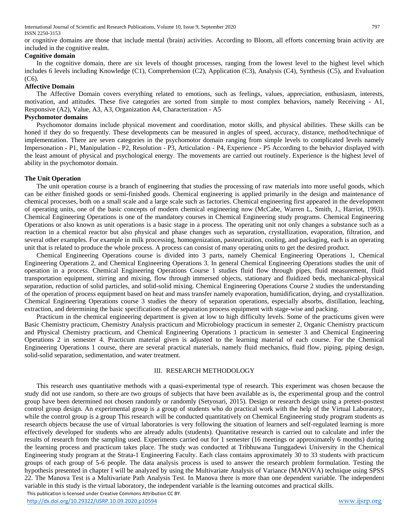International Journal of Scientific and Research Publications, Volume 10, Issue 9, September 2020 797 ISSN 2250-3153

or cognitive domains are those that include mental (brain) activities. According to Bloom, all efforts concerning brain activity are included in the cognitive realm.

## **Cognitive domain**

In the cognitive domain, there are six levels of thought processes, ranging from the lowest level to the highest level which includes 6 levels including Knowledge (C1), Comprehension (C2), Application (C3), Analysis (C4), Synthesis (C5), and Evaluation (C6).

#### **Affective Domain**

The Affective Domain covers everything related to emotions, such as feelings, values, appreciation, enthusiasm, interests, motivation, and attitudes. These five categories are sorted from simple to most complex behaviors, namely Receiving - A1, Responsive (A2), Value, A3, A3, Organization A4, Characterization - A5

## **Psychomotor domains**

Psychomotor domains include physical movement and coordination, motor skills, and physical abilities. These skills can be honed if they do so frequently. These developments can be measured in angles of speed, accuracy, distance, method/technique of implementation. There are seven categories in the psychomotor domain ranging from simple levels to complicated levels namely Impersonation - P1, Manipulation - P2, Resolution - P3, Articulation - P4, Experience - P5 According to the behavior displayed with the least amount of physical and psychological energy. The movements are carried out routinely. Experience is the highest level of ability in the psychomotor domain.

## **The Unit Operation**

The unit operation course is a branch of engineering that studies the processing of raw materials into more useful goods, which can be either finished goods or semi-finished goods. Chemical engineering is applied primarily in the design and maintenance of chemical processes, both on a small scale and a large scale such as factories. Chemical engineering first appeared in the development of operating units, one of the basic concepts of modern chemical engineering now (McCabe, Warren L, Smith, J., Harriot, 1993). Chemical Engineering Operations is one of the mandatory courses in Chemical Engineering study programs. Chemical Engineering Operations or also known as unit operations is a basic stage in a process. The operating unit not only changes a substance such as a reaction in a chemical reactor but also physical and phase changes such as separation, crystallization, evaporation, filtration, and several other examples. For example in milk processing, homogenization, pasteurization, cooling, and packaging, each is an operating unit that is related to produce the whole process. A process can consist of many operating units to get the desired product.

Chemical Engineering Operations course is divided into 3 parts, namely Chemical Engineering Operations 1, Chemical Engineering Operations 2, and Chemical Engineering Operations 3. In general Chemical Engineering Operations studies the unit of operation in a process. Chemical Engineering Operations Course 1 studies fluid flow through pipes, fluid measurement, fluid transportation equipment, stirring and mixing, flow through immersed objects, stationary and fluidized beds, mechanical-physical separation, reduction of solid particles, and solid-solid mixing. Chemical Engineering Operations Course 2 studies the understanding of the operation of process equipment based on heat and mass transfer namely evaporation, humidification, drying, and crystallization. Chemical Engineering Operations course 3 studies the theory of separation operations, especially absorbs, distillation, leaching, extraction, and determining the basic specifications of the separation process equipment with stage-wise and packing.

Practicum in the chemical engineering department is given at low to high difficulty levels. Some of the practicums given were Basic Chemistry practicum, Chemistry Analysis practicum and Microbiology practicum in semester 2, Organic Chemistry practicum and Physical Chemistry practicum, and Chemical Engineering Operations 1 practicum in semester 3 and Chemical Engineering Operations 2 in semester 4. Practicum material given is adjusted to the learning material of each course. For the Chemical Engineering Operations 1 course, there are several practical materials, namely fluid mechanics, fluid flow, piping, piping design, solid-solid separation, sedimentation, and water treatment.

## III. RESEARCH METHODOLOGY

 This publication is licensed under Creative Commons Attribution CC BY. This research uses quantitative methods with a quasi-experimental type of research. This experiment was chosen because the study did not use random, so there are two groups of subjects that have been available as is, the experimental group and the control group have been determined not chosen randomly or randomly (Setyosari, 2015). Design or research design using a pretest-posttest control group design. An experimental group is a group of students who do practical work with the help of the Virtual Laboratory, while the control group is a group This research will be conducted quantitatively on Chemical Engineering study program students as research objects because the use of virtual laboratories is very following the situation of learners and self-regulated learning is more effectively developed for students who are already adults (students). Quantitative research is carried out to calculate and infer the results of research from the sampling used. Experiments carried out for 1 semester (16 meetings or approximately 6 months) during the learning process and practicum takes place. The study was conducted at Tribhuwana Tunggadewi University in the Chemical Engineering study program at the Strata-1 Engineering Faculty. Each class contains approximately 30 to 33 students with practicum groups of each group of 5-6 people. The data analysis process is used to answer the research problem formulation. Testing the hypothesis presented in chapter I will be analyzed by using the Multivariate Analysis of Variance (MANOVA) technique using SPSS 22. The Manova Test is a Multivariate Path Analysis Test. In Manova there is more than one dependent variable. The independent variable in this study is the virtual laboratory, the independent variable is the learning outcomes and practical skills.

<http://dx.doi.org/10.29322/IJSRP.10.09.2020.p10594> [www.ijsrp.org](http://ijsrp.org/)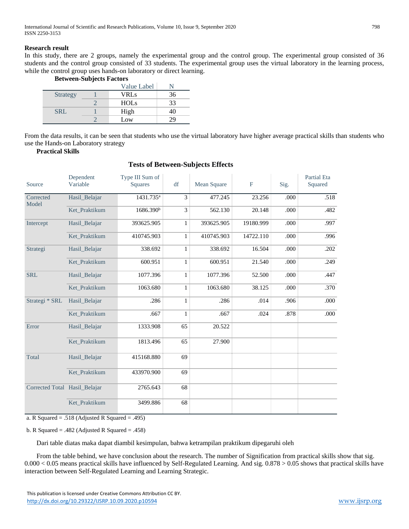## **Research result**

In this study, there are 2 groups, namely the experimental group and the control group. The experimental group consisted of 36 students and the control group consisted of 33 students. The experimental group uses the virtual laboratory in the learning process, while the control group uses hands-on laboratory or direct learning.

**Between-Subjects Factors**

|                 | Value Label |    |  |
|-----------------|-------------|----|--|
| <b>Strategy</b> | VRLs        | 36 |  |
|                 | <b>HOLs</b> | 33 |  |
| <b>SRL</b>      | High        |    |  |
|                 | Low         |    |  |

From the data results, it can be seen that students who use the virtual laboratory have higher average practical skills than students who use the Hands-on Laboratory strategy

**Practical Skills**

| Source                        | Dependent<br>Variable | Type III Sum of<br><b>Squares</b> | df           | Mean Square | $_{\rm F}$ | Sig. | <b>Partial Eta</b><br>Squared |
|-------------------------------|-----------------------|-----------------------------------|--------------|-------------|------------|------|-------------------------------|
| Corrected<br>Model            | Hasil_Belajar         | 1431.735 <sup>a</sup>             | 3            | 477.245     | 23.256     | .000 | .518                          |
|                               | Ket Praktikum         | 1686.390 <sup>b</sup>             | 3            | 562.130     | 20.148     | .000 | .482                          |
| Intercept                     | Hasil_Belajar         | 393625.905                        | $\mathbf{1}$ | 393625.905  | 19180.999  | .000 | .997                          |
|                               | Ket Praktikum         | 410745.903                        | $\mathbf{1}$ | 410745.903  | 14722.110  | .000 | .996                          |
| Strategi                      | Hasil_Belajar         | 338.692                           | $\mathbf{1}$ | 338.692     | 16.504     | .000 | .202                          |
|                               | Ket Praktikum         | 600.951                           | $\mathbf{1}$ | 600.951     | 21.540     | .000 | .249                          |
| <b>SRL</b>                    | Hasil_Belajar         | 1077.396                          | $\mathbf{1}$ | 1077.396    | 52.500     | .000 | .447                          |
|                               | Ket Praktikum         | 1063.680                          | $\mathbf{1}$ | 1063.680    | 38.125     | .000 | .370                          |
| Strategi * SRL                | Hasil_Belajar         | .286                              | $\mathbf{1}$ | .286        | .014       | .906 | .000                          |
|                               | Ket Praktikum         | .667                              | $\mathbf{1}$ | .667        | .024       | .878 | .000                          |
| Error                         | Hasil Belajar         | 1333.908                          | 65           | 20.522      |            |      |                               |
|                               | Ket Praktikum         | 1813.496                          | 65           | 27.900      |            |      |                               |
| Total                         | Hasil_Belajar         | 415168.880                        | 69           |             |            |      |                               |
|                               | Ket Praktikum         | 433970.900                        | 69           |             |            |      |                               |
| Corrected Total Hasil_Belajar |                       | 2765.643                          | 68           |             |            |      |                               |
|                               | Ket Praktikum         | 3499.886                          | 68           |             |            |      |                               |

## **Tests of Between-Subjects Effects**

a. R Squared = .518 (Adjusted R Squared = .495)

b. R Squared = .482 (Adjusted R Squared = .458)

Dari table diatas maka dapat diambil kesimpulan, bahwa ketrampilan praktikum dipegaruhi oleh

From the table behind, we have conclusion about the research. The number of Signification from practical skills show that sig. 0.000 < 0.05 means practical skills have influenced by Self-Regulated Learning. And sig. 0.878 > 0.05 shows that practical skills have interaction between Self-Regulated Learning and Learning Strategic.